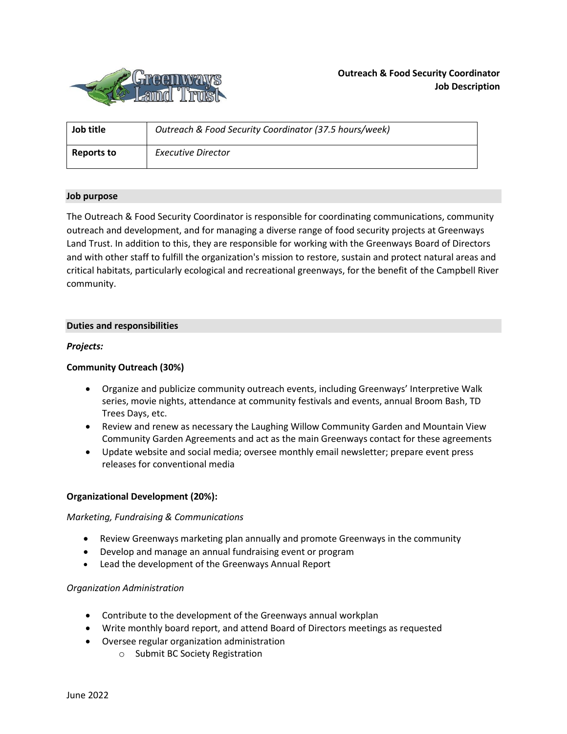

| Job title  | Outreach & Food Security Coordinator (37.5 hours/week) |
|------------|--------------------------------------------------------|
| Reports to | <b>Executive Director</b>                              |

## **Job purpose**

The Outreach & Food Security Coordinator is responsible for coordinating communications, community outreach and development, and for managing a diverse range of food security projects at Greenways Land Trust. In addition to this, they are responsible for working with the Greenways Board of Directors and with other staff to fulfill the organization's mission to restore, sustain and protect natural areas and critical habitats, particularly ecological and recreational greenways, for the benefit of the Campbell River community.

## **Duties and responsibilities**

# *Projects:*

# **Community Outreach (30%)**

- Organize and publicize community outreach events, including Greenways' Interpretive Walk series, movie nights, attendance at community festivals and events, annual Broom Bash, TD Trees Days, etc.
- Review and renew as necessary the Laughing Willow Community Garden and Mountain View Community Garden Agreements and act as the main Greenways contact for these agreements
- Update website and social media; oversee monthly email newsletter; prepare event press releases for conventional media

### **Organizational Development (20%):**

### *Marketing, Fundraising & Communications*

- Review Greenways marketing plan annually and promote Greenways in the community
- Develop and manage an annual fundraising event or program
- Lead the development of the Greenways Annual Report

### *Organization Administration*

- Contribute to the development of the Greenways annual workplan
- Write monthly board report, and attend Board of Directors meetings as requested
- Oversee regular organization administration
	- o Submit BC Society Registration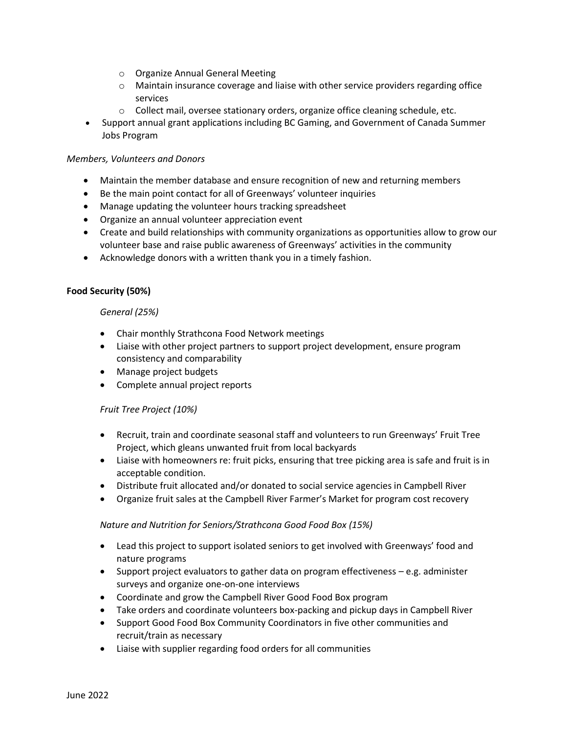- o Organize Annual General Meeting
- $\circ$  Maintain insurance coverage and liaise with other service providers regarding office services
- o Collect mail, oversee stationary orders, organize office cleaning schedule, etc.
- Support annual grant applications including BC Gaming, and Government of Canada Summer Jobs Program

## *Members, Volunteers and Donors*

- Maintain the member database and ensure recognition of new and returning members
- Be the main point contact for all of Greenways' volunteer inquiries
- Manage updating the volunteer hours tracking spreadsheet
- Organize an annual volunteer appreciation event
- Create and build relationships with community organizations as opportunities allow to grow our volunteer base and raise public awareness of Greenways' activities in the community
- Acknowledge donors with a written thank you in a timely fashion.

## **Food Security (50%)**

## *General (25%)*

- Chair monthly Strathcona Food Network meetings
- Liaise with other project partners to support project development, ensure program consistency and comparability
- Manage project budgets
- Complete annual project reports

# *Fruit Tree Project (10%)*

- Recruit, train and coordinate seasonal staff and volunteers to run Greenways' Fruit Tree Project, which gleans unwanted fruit from local backyards
- Liaise with homeowners re: fruit picks, ensuring that tree picking area is safe and fruit is in acceptable condition.
- Distribute fruit allocated and/or donated to social service agencies in Campbell River
- Organize fruit sales at the Campbell River Farmer's Market for program cost recovery

# *Nature and Nutrition for Seniors/Strathcona Good Food Box (15%)*

- Lead this project to support isolated seniors to get involved with Greenways' food and nature programs
- Support project evaluators to gather data on program effectiveness e.g. administer surveys and organize one-on-one interviews
- Coordinate and grow the Campbell River Good Food Box program
- Take orders and coordinate volunteers box-packing and pickup days in Campbell River
- Support Good Food Box Community Coordinators in five other communities and recruit/train as necessary
- Liaise with supplier regarding food orders for all communities